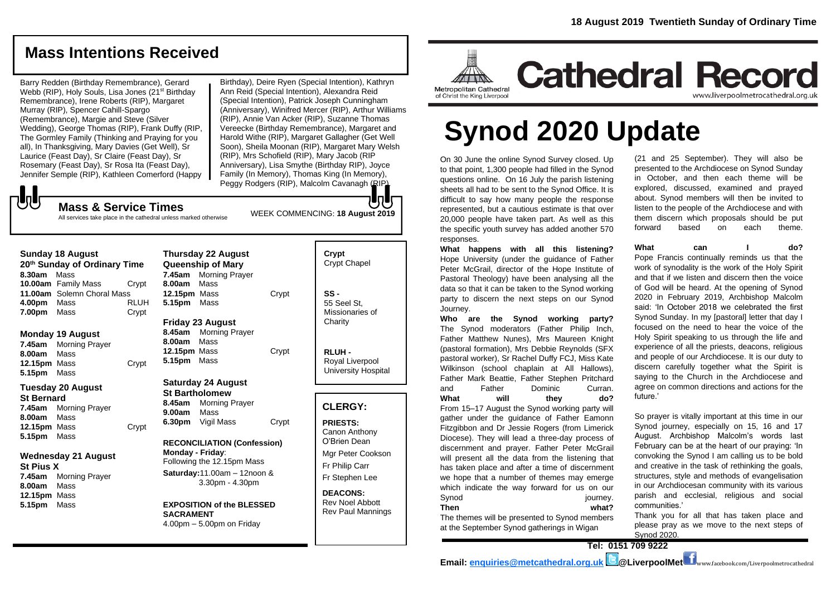**Cathedral Record** 

# **Mass Intentions Received**

Barry Redden (Birthday Remembrance), Gerard Webb (RIP), Holy Souls, Lisa Jones (21<sup>st</sup> Birthday Remembrance), Irene Roberts (RIP), Margaret Murray (RIP), Spencer Cahill-Spargo (Remembrance), Margie and Steve (Silver Wedding), George Thomas (RIP), Frank Duffy (RIP, The Gormley Family (Thinking and Praying for you all), In Thanksgiving, Mary Davies (Get Well), Sr Laurice (Feast Day), Sr Claire (Feast Day), Sr Rosemary (Feast Day), Sr Rosa Ita (Feast Day), Jennifer Semple (RIP), Kathleen Comerford (Happy

Birthday), Deire Ryen (Special Intention), Kathryn Ann Reid (Special Intention), Alexandra Reid (Special Intention), Patrick Joseph Cunningham (Anniversary), Winifred Mercer (RIP), Arthur Williams (RIP), Annie Van Acker (RIP), Suzanne Thomas Vereecke (Birthday Remembrance), Margaret and Harold Withe (RIP), Margaret Gallagher (Get Well Soon), Sheila Moonan (RIP), Margaret Mary Welsh (RIP), Mrs Schofield (RIP), Mary Jacob (RIP Anniversary), Lisa Smythe (Birthday RIP), Joyce Family (In Memory), Thomas King (In Memory), Peggy Rodgers (RIP), Malcolm Cavanagh (RIP).

# JJ

**Mass & Service Times** All services take place in the cathedral unless marked otherwise

| <b>Sunday 18 August</b><br>20 <sup>th</sup> Sunday of Ordinary Time<br>8.30am Mass                                                            | <b>Thursday 22 August</b><br><b>Queenship of Mary</b><br>7.45am<br><b>Morning Prayer</b>                                                                                                        | Crypt<br><b>Crypt Chapel</b>                                                                                                   |
|-----------------------------------------------------------------------------------------------------------------------------------------------|-------------------------------------------------------------------------------------------------------------------------------------------------------------------------------------------------|--------------------------------------------------------------------------------------------------------------------------------|
| 10.00am Family Mass<br>Crypt<br>11.00am Solemn Choral Mass<br><b>RLUH</b><br>4.00pm<br>Mass<br>7.00pm<br>Mass<br>Crypt                        | 8.00am<br>Mass<br>Crypt<br>12.15pm Mass<br>5.15pm<br>Mass<br><b>Friday 23 August</b>                                                                                                            | $SS -$<br>55 Seel St.<br>Missionaries of<br>Charity                                                                            |
| <b>Monday 19 August</b><br>7.45am<br><b>Morning Prayer</b><br>8.00am<br>Mass<br>12.15pm Mass<br>Crypt<br>5.15pm<br>Mass                       | <b>Morning Prayer</b><br>8.45am<br>Mass<br>8.00am<br>12.15pm Mass<br>Crypt<br>5.15pm<br>Mass                                                                                                    | RLUH-<br>Royal Liverpool<br><b>University Hospital</b>                                                                         |
| <b>Tuesday 20 August</b><br><b>St Bernard</b><br>7.45am<br><b>Morning Prayer</b><br>8.00am<br>Mass<br>12.15pm Mass<br>Crypt<br>5.15pm<br>Mass | <b>Saturday 24 August</b><br><b>St Bartholomew</b><br>8.45am<br><b>Morning Prayer</b><br>9.00am<br>Mass<br>6.30pm<br>Vigil Mass<br>Crypt                                                        | <b>CLERGY:</b><br><b>PRIESTS:</b><br>Canon Anthony<br>O'Brien Dean                                                             |
| <b>Wednesday 21 August</b><br><b>St Pius X</b><br>7.45am<br><b>Morning Prayer</b><br>8.00am<br>Mass<br>12.15pm Mass<br>5.15pm<br>Mass         | <b>RECONCILIATION (Confession)</b><br>Monday - Friday:<br>Following the 12.15pm Mass<br>Saturday: 11.00am - 12noon &<br>3.30pm - 4.30pm<br><b>EXPOSITION of the BLESSED</b><br><b>SACRAMENT</b> | Mgr Peter Cookson<br>Fr Philip Carr<br>Fr Stephen Lee<br><b>DEACONS:</b><br><b>Rev Noel Abbott</b><br><b>Rev Paul Mannings</b> |

4.00pm – 5.00pm on Friday

On 30 June the online Synod Survey closed. Up to that point, 1,300 people had filled in the Synod questions online. On 16 July the parish listening sheets all had to be sent to the Synod Office. It is difficult to say how many people the response represented, but a cautious estimate is that over 20,000 people have taken part. As well as this WEEK COMMENCING: **18 August 2019**

Metropolitan Cathedral

of Christ the King Liverpool

responses. **What happens with all this listening?** Hope University (under the guidance of Father Peter McGrail, director of the Hope Institute of Pastoral Theology) have been analysing all the data so that it can be taken to the Synod working party to discern the next steps on our Synod Journey.

the specific youth survey has added another 570

**Synod 2020 Update**

**Who are the Synod working party?** The Synod moderators (Father Philip Inch, Father Matthew Nunes), Mrs Maureen Knight (pastoral formation), Mrs Debbie Reynolds (SFX pastoral worker), Sr Rachel Duffy FCJ, Miss Kate Wilkinson (school chaplain at All Hallows), Father Mark Beattie, Father Stephen Pritchard and Father Dominic Curran. What will they do? From 15–17 August the Synod working party will gather under the guidance of Father Eamonn Fitzgibbon and Dr Jessie Rogers (from Limerick Diocese). They will lead a three-day process of discernment and prayer. Father Peter McGrail will present all the data from the listening that has taken place and after a time of discernment we hope that a number of themes may emerge which indicate the way forward for us on our Synod iourney. **Then what?**

The themes will be presented to Synod members at the September Synod gatherings in Wigan

(21 and 25 September). They will also be presented to the Archdiocese on Synod Sunday in October, and then each theme will be explored, discussed, examined and prayed about. Synod members will then be invited to listen to the people of the Archdiocese and with them discern which proposals should be put forward based on each theme.

www.liverpoolmetrocathedral.org.uk

**What can I do?** Pope Francis continually reminds us that the work of synodality is the work of the Holy Spirit and that if we listen and discern then the voice of God will be heard. At the opening of Synod 2020 in February 2019, Archbishop Malcolm said: 'In October 2018 we celebrated the first Synod Sunday. In my [pastoral] letter that day I

focused on the need to hear the voice of the Holy Spirit speaking to us through the life and experience of all the priests, deacons, religious and people of our Archdiocese. It is our duty to discern carefully together what the Spirit is saying to the Church in the Archdiocese and agree on common directions and actions for the future.'

So prayer is vitally important at this time in our Synod journey, especially on 15, 16 and 17 August. Archbishop Malcolm's words last February can be at the heart of our praying: 'In convoking the Synod I am calling us to be bold and creative in the task of rethinking the goals, structures, style and methods of evangelisation in our Archdiocesan community with its various parish and ecclesial, religious and social communities.'

Thank you for all that has taken place and please pray as we move to the next steps of Synod 2020.

**Tel: 0151 709 9222**